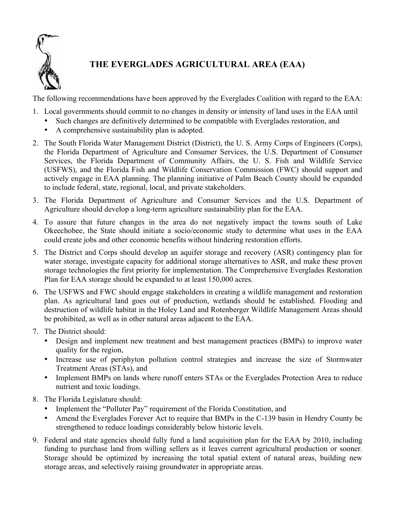

## **THE EVERGLADES AGRICULTURAL AREA (EAA)**

The following recommendations have been approved by the Everglades Coalition with regard to the EAA:

- 1. Local governments should commit to no changes in density or intensity of land uses in the EAA until
	- Such changes are definitively determined to be compatible with Everglades restoration, and
	- A comprehensive sustainability plan is adopted.
- 2. The South Florida Water Management District (District), the U. S. Army Corps of Engineers (Corps), the Florida Department of Agriculture and Consumer Services, the U.S. Department of Consumer Services, the Florida Department of Community Affairs, the U. S. Fish and Wildlife Service (USFWS), and the Florida Fish and Wildlife Conservation Commission (FWC) should support and actively engage in EAA planning. The planning initiative of Palm Beach County should be expanded to include federal, state, regional, local, and private stakeholders.
- 3. The Florida Department of Agriculture and Consumer Services and the U.S. Department of Agriculture should develop a long-term agriculture sustainability plan for the EAA.
- 4. To assure that future changes in the area do not negatively impact the towns south of Lake Okeechobee, the State should initiate a socio/economic study to determine what uses in the EAA could create jobs and other economic benefits without hindering restoration efforts.
- 5. The District and Corps should develop an aquifer storage and recovery (ASR) contingency plan for water storage, investigate capacity for additional storage alternatives to ASR, and make these proven storage technologies the first priority for implementation. The Comprehensive Everglades Restoration Plan for EAA storage should be expanded to at least 150,000 acres.
- 6. The USFWS and FWC should engage stakeholders in creating a wildlife management and restoration plan. As agricultural land goes out of production, wetlands should be established. Flooding and destruction of wildlife habitat in the Holey Land and Rotenberger Wildlife Management Areas should be prohibited, as well as in other natural areas adjacent to the EAA.
- 7. The District should:
	- Design and implement new treatment and best management practices (BMPs) to improve water quality for the region,
	- Increase use of periphyton pollution control strategies and increase the size of Stormwater Treatment Areas (STAs), and
	- Implement BMPs on lands where runoff enters STAs or the Everglades Protection Area to reduce nutrient and toxic loadings.
- 8. The Florida Legislature should:
	- Implement the "Polluter Pay" requirement of the Florida Constitution, and
	- Amend the Everglades Forever Act to require that BMPs in the C-139 basin in Hendry County be strengthened to reduce loadings considerably below historic levels.
- 9. Federal and state agencies should fully fund a land acquisition plan for the EAA by 2010, including funding to purchase land from willing sellers as it leaves current agricultural production or sooner. Storage should be optimized by increasing the total spatial extent of natural areas, building new storage areas, and selectively raising groundwater in appropriate areas.